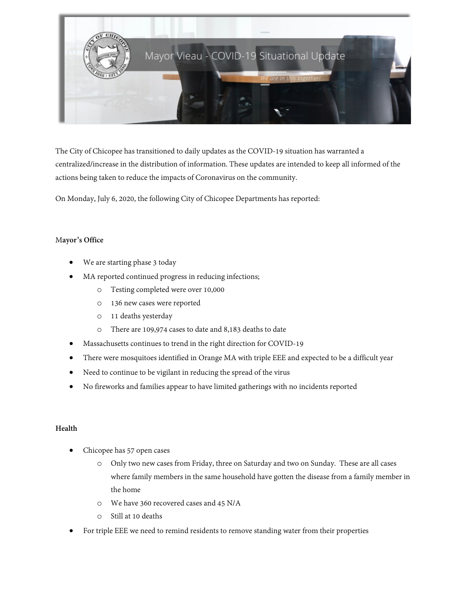

The City of Chicopee has transitioned to daily updates as the COVID-19 situation has warranted a centralized/increase in the distribution of information. These updates are intended to keep all informed of the actions being taken to reduce the impacts of Coronavirus on the community.

On Monday, July 6, 2020, the following City of Chicopee Departments has reported:

## M**ayor's Office**

- We are starting phase 3 today
- MA reported continued progress in reducing infections;
	- o Testing completed were over 10,000
	- o 136 new cases were reported
	- o 11 deaths yesterday
	- o There are 109,974 cases to date and 8,183 deaths to date
- Massachusetts continues to trend in the right direction for COVID-19
- There were mosquitoes identified in Orange MA with triple EEE and expected to be a difficult year
- Need to continue to be vigilant in reducing the spread of the virus
- No fireworks and families appear to have limited gatherings with no incidents reported

### **Health**

- Chicopee has 57 open cases
	- o Only two new cases from Friday, three on Saturday and two on Sunday. These are all cases where family members in the same household have gotten the disease from a family member in the home
	- o We have 360 recovered cases and 45 N/A
	- o Still at 10 deaths
- For triple EEE we need to remind residents to remove standing water from their properties